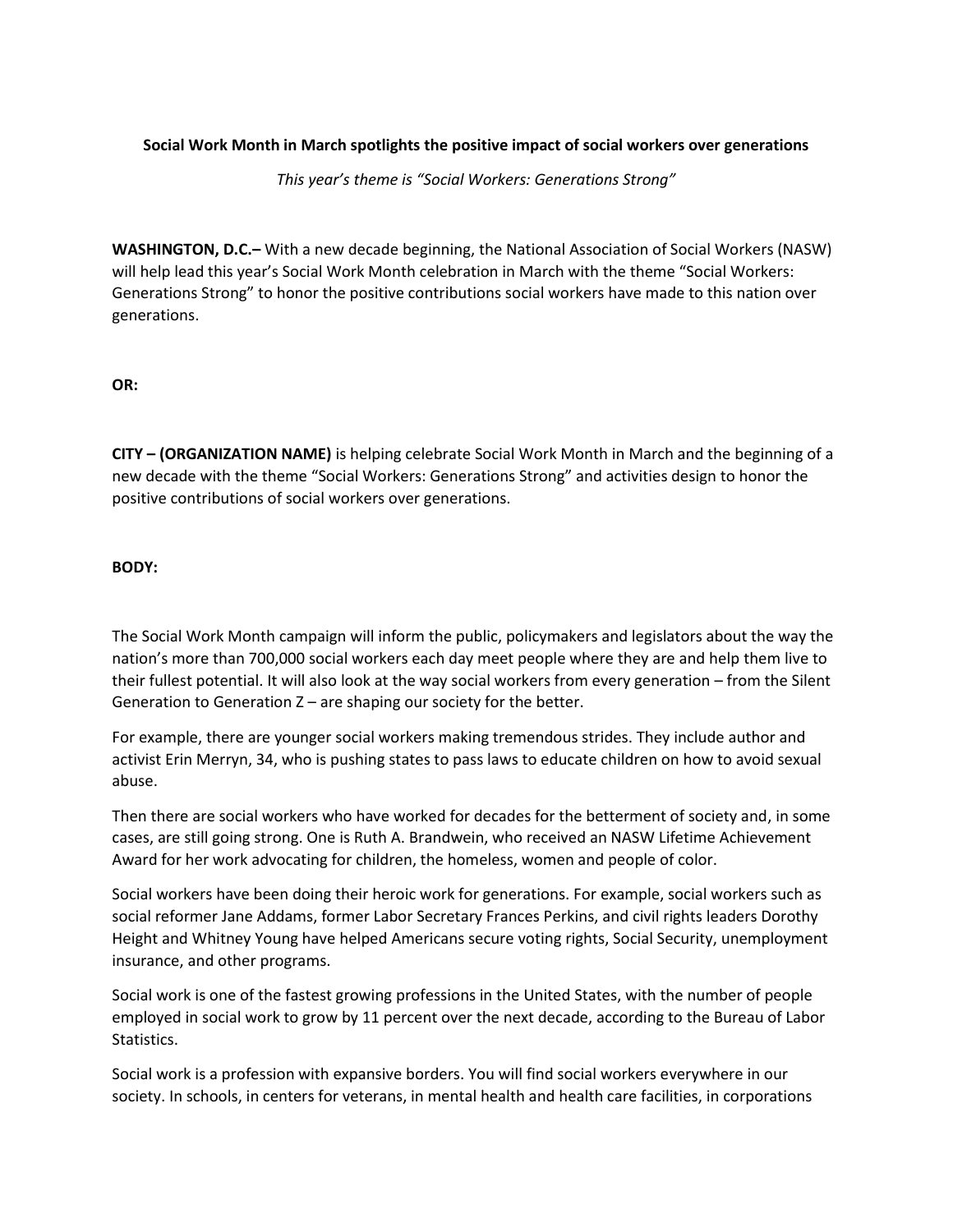## **Social Work Month in March spotlights the positive impact of social workers over generations**

*This year's theme is "Social Workers: Generations Strong"*

**WASHINGTON, D.C.–** With a new decade beginning, the National Association of Social Workers (NASW) will help lead this year's Social Work Month celebration in March with the theme "Social Workers: Generations Strong" to honor the positive contributions social workers have made to this nation over generations.

**OR:** 

**CITY – (ORGANIZATION NAME)** is helping celebrate Social Work Month in March and the beginning of a new decade with the theme "Social Workers: Generations Strong" and activities design to honor the positive contributions of social workers over generations.

**BODY:** 

The Social Work Month campaign will inform the public, policymakers and legislators about the way the nation's more than 700,000 social workers each day meet people where they are and help them live to their fullest potential. It will also look at the way social workers from every generation – from the Silent Generation to Generation Z – are shaping our society for the better.

For example, there are younger social workers making tremendous strides. They include author and activist Erin Merryn, 34, who is pushing states to pass laws to educate children on how to avoid sexual abuse.

Then there are social workers who have worked for decades for the betterment of society and, in some cases, are still going strong. One is Ruth A. Brandwein, who received an NASW Lifetime Achievement Award for her work advocating for children, the homeless, women and people of color.

Social workers have been doing their heroic work for generations. For example, social workers such as social reformer Jane Addams, former Labor Secretary Frances Perkins, and civil rights leaders Dorothy Height and Whitney Young have helped Americans secure voting rights, Social Security, unemployment insurance, and other programs.

Social work is one of the fastest growing professions in the United States, with the number of people employed in social work to grow by 11 percent over the next decade, according to the Bureau of Labor Statistics.

Social work is a profession with expansive borders. You will find social workers everywhere in our society. In schools, in centers for veterans, in mental health and health care facilities, in corporations